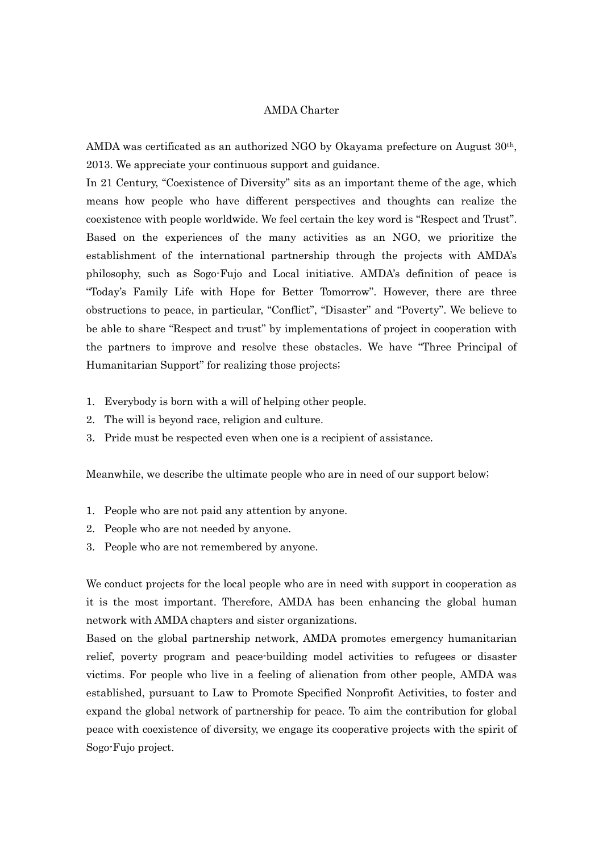## AMDA Charter

AMDA was certificated as an authorized NGO by Okayama prefecture on August 30th, 2013. We appreciate your continuous support and guidance.

In 21 Century, "Coexistence of Diversity" sits as an important theme of the age, which means how people who have different perspectives and thoughts can realize the coexistence with people worldwide. We feel certain the key word is "Respect and Trust". Based on the experiences of the many activities as an NGO, we prioritize the establishment of the international partnership through the projects with AMDA's philosophy, such as Sogo-Fujo and Local initiative. AMDA's definition of peace is "Today's Family Life with Hope for Better Tomorrow". However, there are three obstructions to peace, in particular, "Conflict", "Disaster" and "Poverty". We believe to be able to share "Respect and trust" by implementations of project in cooperation with the partners to improve and resolve these obstacles. We have "Three Principal of Humanitarian Support" for realizing those projects;

- 1. Everybody is born with a will of helping other people.
- 2. The will is beyond race, religion and culture.
- 3. Pride must be respected even when one is a recipient of assistance.

Meanwhile, we describe the ultimate people who are in need of our support below;

- 1. People who are not paid any attention by anyone.
- 2. People who are not needed by anyone.
- 3. People who are not remembered by anyone.

We conduct projects for the local people who are in need with support in cooperation as it is the most important. Therefore, AMDA has been enhancing the global human network with AMDA chapters and sister organizations.

Based on the global partnership network, AMDA promotes emergency humanitarian relief, poverty program and peace-building model activities to refugees or disaster victims. For people who live in a feeling of alienation from other people, AMDA was established, pursuant to Law to Promote Specified Nonprofit Activities, to foster and expand the global network of partnership for peace. To aim the contribution for global peace with coexistence of diversity, we engage its cooperative projects with the spirit of Sogo-Fujo project.